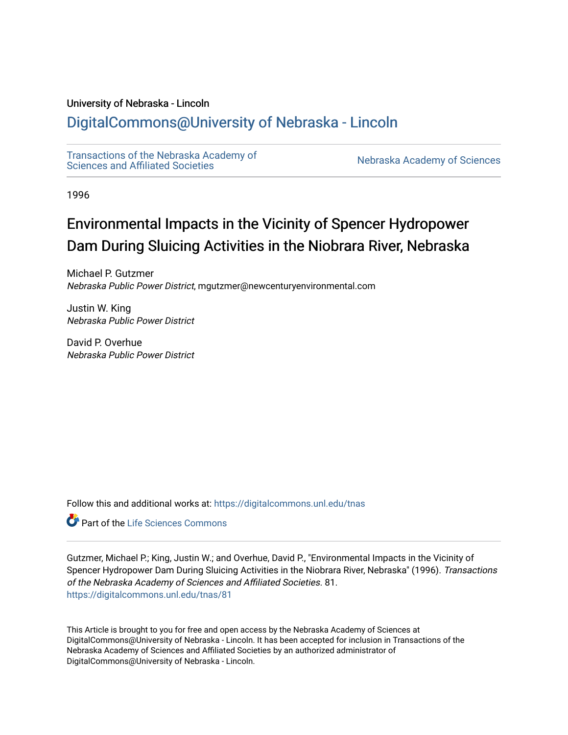# University of Nebraska - Lincoln

# [DigitalCommons@University of Nebraska - Lincoln](https://digitalcommons.unl.edu/)

[Transactions of the Nebraska Academy of](https://digitalcommons.unl.edu/tnas)  Transactions of the Nebraska Academy of Sciences<br>Sciences and Affiliated Societies

1996

# Environmental Impacts in the Vicinity of Spencer Hydropower Dam During Sluicing Activities in the Niobrara River, Nebraska

Michael P. Gutzmer Nebraska Public Power District, mgutzmer@newcenturyenvironmental.com

Justin W. King Nebraska Public Power District

David P. Overhue Nebraska Public Power District

Follow this and additional works at: [https://digitalcommons.unl.edu/tnas](https://digitalcommons.unl.edu/tnas?utm_source=digitalcommons.unl.edu%2Ftnas%2F81&utm_medium=PDF&utm_campaign=PDFCoverPages) 

**C** Part of the Life Sciences Commons

Gutzmer, Michael P.; King, Justin W.; and Overhue, David P., "Environmental Impacts in the Vicinity of Spencer Hydropower Dam During Sluicing Activities in the Niobrara River, Nebraska" (1996). Transactions of the Nebraska Academy of Sciences and Affiliated Societies. 81. [https://digitalcommons.unl.edu/tnas/81](https://digitalcommons.unl.edu/tnas/81?utm_source=digitalcommons.unl.edu%2Ftnas%2F81&utm_medium=PDF&utm_campaign=PDFCoverPages)

This Article is brought to you for free and open access by the Nebraska Academy of Sciences at DigitalCommons@University of Nebraska - Lincoln. It has been accepted for inclusion in Transactions of the Nebraska Academy of Sciences and Affiliated Societies by an authorized administrator of DigitalCommons@University of Nebraska - Lincoln.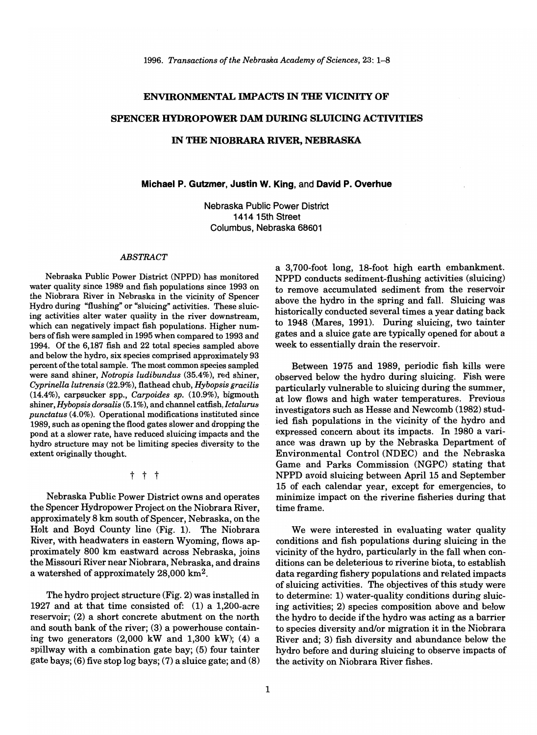#### ENVIRONMENTAL IMPACTS IN THE VICINITY OF

#### SPENCER HYDROPOWER DAM DURING SLUICING ACTIVITIES

#### IN THE NIOBRARA RIVER, NEBRASKA

#### Michael P. Gutzmer, Justin W. King, and David P. Overhue

Nebraska Public Power District 141415th Street Columbus, Nebraska 68601

#### *ABSTRACT*

Nebraska Public Power District (NPPD) has monitored water quality since 1989 and fish populations since 1993 on the Niobrara River in Nebraska in the vicinity of Spencer Hydro during "flushing" or "sluicing" activities. These sluicing activities alter water quality in the river downstream, which can negatively impact fish populations. Higher numbers offish were sampled in 1995 when compared to 1993 and 1994. Of the 6,187 fish and 22 total species sampled above and below the hydro, six species comprised approximately 93 percent of the total sample. The most common species sampled were sand shiner, *Notropis ludibundus* (35.4%), red shiner, *Cyprinella lutrensis* (22.9%), flathead chub, *Hybopsis gracilis*  (14.4%), carpsucker spp., *Carpoides sp.* (10.9%), bigmouth shiner, *Hybopsis dorsalis* (5.1%), and channel catfish, *Ictalurus punctatus* (4.0%). Operational modifications instituted since 1989, such as opening the flood gates slower and dropping the pond at a slower rate, have reduced sluicing impacts and the hydro structure may not be limiting species diversity to the extent originally thought.

t t t

Nebraska Public Power District owns and operates the Spencer Hydropower Project on the Niobrara River, approximately 8 km south of Spencer, Nebraska, on the Holt and Boyd County line (Fig. 1). The Niobrara River, with headwaters in eastern Wyoming, flows approximately 800 km eastward across Nebraska, joins the Missouri River near Niobrara, Nebraska, and drains a watershed of approximately 28,000 km2.

The hydro project structure (Fig. 2) was installed in 1927 and at that time consisted of: (1) a 1,200-acre reservoir; (2) a short concrete abutment on the north and south bank of the river; (3) a powerhouse containing two generators  $(2,000 \text{ kW}$  and  $1,300 \text{ kW}$ ;  $(4)$  a spillway with a combination gate bay; (5) four tainter gate bays; (6) five stop log bays; (7) a sluice gate; and (8) a 3,700-foot long, 18-foot high earth embankment. NPPD conducts sediment-flushing activities (sluicing) to remove accumulated sediment from the reservoir above the hydro in the spring and fall. Sluicing was historically conducted several times a year dating back to 1948 (Mares, 1991). During sluicing, two tainter gates and a sluice gate are typically opened for about a week to essentially drain the reservoir.

Between 1975 and 1989, periodic fish kills were observed below the hydro during sluicing. Fish were particularly vulnerable to sluicing during the summer, at low flows and high water temperatures. Previous investigators such as Hesse and Newcomb (1982) studied fish populations in the vicinity of the hydro and expressed concern about its impacts. In 1980 a variance was drawn up by the Nebraska Department of Environmental Control (NDEC) and the Nebraska Game and Parks Commission (NGPC) stating that NPPD avoid sluicing between April 15 and September 15 of each calendar year, except for emergencies, to minimize impact on the riverine fisheries during that time frame.

We were interested in evaluating water quality conditions and fish populations during sluicing in the vicinity of the hydro, particularly in the fall when conditions can be deleterious to riverine biota, to establish data regarding fishery populations and related impacts of sluicing activities. The objectives of this study were to determine: 1) water-quality conditions during sluicing activities; 2) species composition above and below the hydro to decide if the hydro was acting as a barrier to species diversity and/or migration it in the Niobrara River and; 3) fish diversity and abundance below the hydro before and during sluicing to observe impacts of the activity on Niobrara River fishes.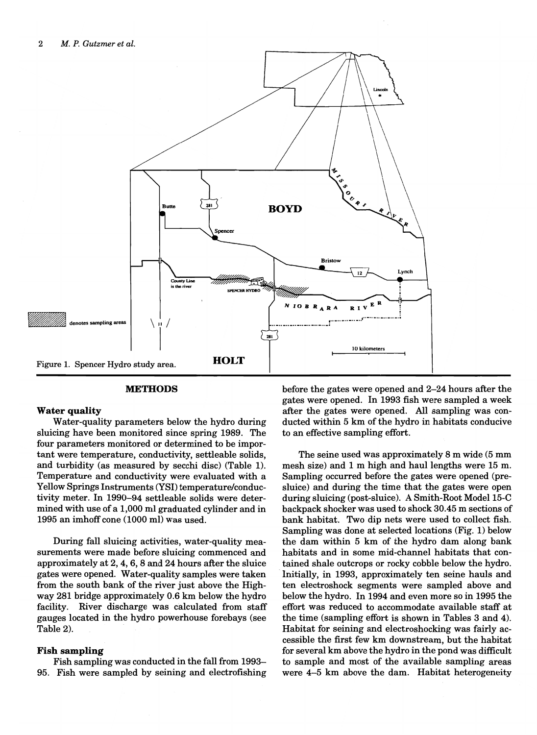

#### **METHODS**

#### **Water quality**

Water-quality parameters below the hydro during sluicing have been monitored since spring 1989. The four parameters monitored or determined to be important were temperature, conductivity, settleable solids, and turbidity (as measured by secchi disc) (Table 1). Temperature and conductivity were evaluated with a Yellow Springs Instruments (YS!) temperature/conductivity meter. In 1990-94 settleable solids were determined with use of a 1,000 ml graduated cylinder and in 1995 an imhoff cone (1000 ml) was used.

During fall sluicing activities, water-quality measurements were made before sluicing commenced and approximately at 2, 4, 6, 8 and 24 hours after the sluice gates were opened. Water-quality samples were taken from the south bank of the river just above the Highway 281 bridge approximately 0.6 km below the hydro facility. River discharge was calculated from staff gauges located in the hydro powerhouse forebays (see Table 2).

#### **Fish sampling**

Fish sampling was conducted in the fall from 1993- 95. Fish were sampled by seining and electrofishing before the gates were opened and 2-24 hours after the gates were opened. In 1993 fish were sampled a week after the gates were opened. All sampling was conducted within 5 km of the hydro in habitats conducive to an effective sampling effort.

The seine used was approximately 8 m wide (5 mm mesh size) and 1 m high and haul lengths were 15 m. Sampling occurred before the gates were opened (presluice) and during the time that the gates were open during sluicing (post-sluice). A Smith-Root Model 15-C backpack shocker was used to shock 30.45 m sections of bank habitat. Two dip nets were used to collect fish. Sampling was done at selected locations (Fig. 1) below the dam within 5 km of the hydro dam along bank. habitats and in some mid-channel habitats that contained shale outcrops or rocky cobble below the hydro. Initially, in 1993, approximately ten seine hauls and ten electroshock segments were sampled above and below the hydro. In 1994 and even more so in 1995 the effort was reduced to accommodate available staff at the time (sampling effort is shown in Tables 3 and 4). Habitat for seining and electroshocking was fairly accessible the first few km downstream, but the habitat for several km above the hydro in the pond was difficult to sample and most of the available sampling areas were 4-5 km above the dam. Habitat heterogeneity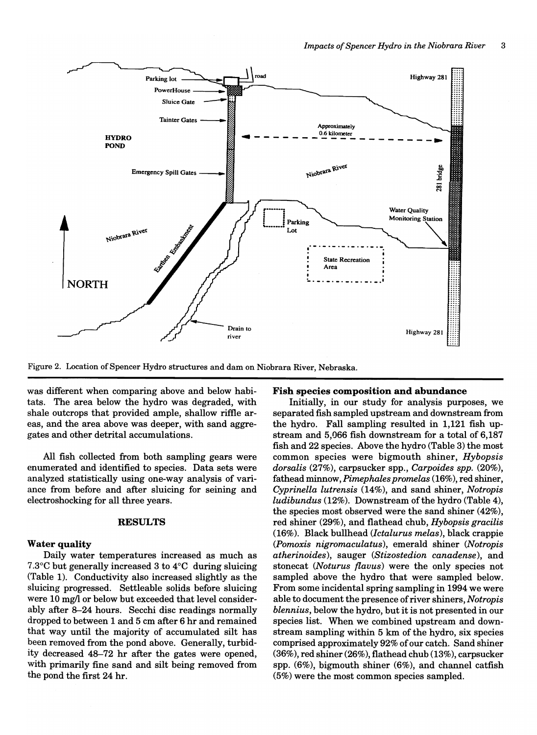

Figure 2. Location of Spencer Hydro structures and dam on Niobrara River, Nebraska.

was different when comparing above and below habitats. The area below the hydro was degraded, with shale outcrops that provided ample, shallow riftle areas, and the area above was deeper, with sand aggregates and other detrital accumulations.

All fish collected from both sampling gears were enumerated and identified to species. Data sets were analyzed statistically using one-way analysis of variance from before and after sluicing for seining and electroshocking for all three years.

#### RESULTS

#### Water quality

Daily water temperatures increased as much as 7.3°C but generally increased 3 to 4°C during sluicing (Table 1). Conductivity also increased slightly as the sluicing progressed. Settleable solids before sluicing were 10 mg/l or below but exceeded that level considerably after 8-24 hours. Secchi disc readings normally dropped to between 1 and 5 cm after 6 hr and remained that way until the majority of accumulated silt has been removed from the pond above. Generally, turbidity decreased 48-72 hr after the gates were opened, with primarily fine sand and silt being removed from the pond the first 24 hr.

#### Fish species composition and abundance

Initially, in our study for analysis purposes, we separated fish sampled upstream and downstream from the hydro. Fall sampling resulted in 1,121 fish upstream and 5,066 fish downstream for a total of 6,187 fish and 22 species. Above the hydro (Table 3) the most common species were bigmouth shiner, *Hybopsis dorsalis* (27%), carpsucker spp., *Carpoides spp. (20%),*  fathead minnow, *Pimephales promelas* (16%), red shiner, *Cyprinella lutrensis* (14%), and sand shiner, *Notropis ludibundus* (12%). Downstream of the hydro (Table 4), the species most observed were the sand shiner (42%), red shiner (29%), and flathead chub, *Hybopsis gracilis*  (16%). Black bullhead *(lctalurus melas),* black crappie *(Pomoxis nigromaculatus),* emerald shiner *(Notropis atherinoides),* sauger *(Stizostedion canadense),* and stonecat *(Noturus flavus)* were the only species not sampled above the hydro that were sampled below. From some incidental spring sampling in 1994 we were able to document the presence of river shiners, *Notropis blennius,* below the hydro, but it is not presented in our species list. When we combined upstream and downstream sampling within 5 km of the hydro, six species comprised approximately 92% of our catch. Sand shiner (36%), red shiner (26%), flathead chub (13%), carpsucker spp. (6%), bigmouth shiner (6%), and channel catfish (5%) were the most common species sampled.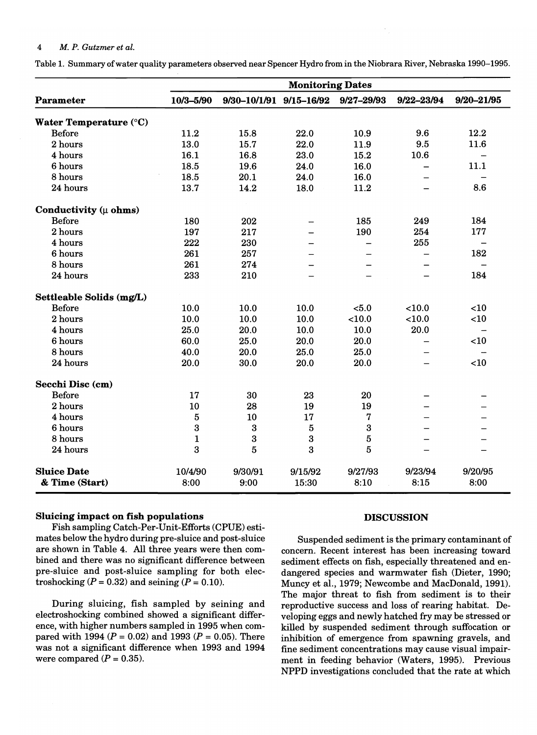# 4 *M. P. Gutzmer et al.*

Table 1. Summary of water quality parameters observed near Spencer Hydro from in the Niobrara River, Nebraska 1990-1995.

|                                  | <b>Monitoring Dates</b> |                         |         |                |                |                          |  |  |  |
|----------------------------------|-------------------------|-------------------------|---------|----------------|----------------|--------------------------|--|--|--|
| Parameter                        | 10/3-5/90               | 9/30-10/1/91 9/15-16/92 |         | $9/27 - 29/93$ | $9/22 - 23/94$ | $9/20 - 21/95$           |  |  |  |
| Water Temperature (°C)           |                         |                         |         |                |                |                          |  |  |  |
| <b>Before</b>                    | 11.2                    | 15.8                    | 22.0    | 10.9           | 9.6            | 12.2                     |  |  |  |
| 2 hours                          | 13.0                    | 15.7                    | 22.0    | 11.9           | 9.5            | 11.6                     |  |  |  |
| 4 hours                          | 16.1                    | 16.8                    | 23.0    | 15.2           | 10.6           |                          |  |  |  |
| 6 hours                          | 18.5                    | 19.6                    | 24.0    | 16.0           |                | 11.1                     |  |  |  |
| 8 hours                          | 18.5                    | 20.1                    | 24.0    | 16.0           |                |                          |  |  |  |
| 24 hours                         | 13.7                    | 14.2                    | 18.0    | 11.2           |                | 8.6                      |  |  |  |
| Conductivity $(\mu \space ohms)$ |                         |                         |         |                |                |                          |  |  |  |
| <b>Before</b>                    | 180                     | 202                     |         | 185            | 249            | 184                      |  |  |  |
| 2 hours                          | 197                     | 217                     |         | 190            | 254            | 177                      |  |  |  |
| 4 hours                          | 222                     | 230                     |         |                | 255            | $\overline{\phantom{0}}$ |  |  |  |
| 6 hours                          | 261                     | 257                     |         |                |                | 182                      |  |  |  |
| 8 hours                          | 261                     | 274                     |         |                |                | $\overline{\phantom{0}}$ |  |  |  |
| 24 hours                         | 233                     | 210                     |         |                |                | 184                      |  |  |  |
| Settleable Solids (mg/L)         |                         |                         |         |                |                |                          |  |  |  |
| <b>Before</b>                    | 10.0                    | 10.0                    | 10.0    | < 5.0          | $<$ 10.0       | < 10                     |  |  |  |
| 2 hours                          | 10.0                    | 10.0                    | 10.0    | < 10.0         | < 10.0         | <10                      |  |  |  |
| 4 hours                          | 25.0                    | 20.0                    | 10.0    | 10.0           | 20.0           |                          |  |  |  |
| 6 hours                          | 60.0                    | 25.0                    | 20.0    | 20.0           |                | < 10                     |  |  |  |
| 8 hours                          | 40.0                    | 20.0                    | 25.0    | 25.0           |                |                          |  |  |  |
| 24 hours                         | 20.0                    | 30.0                    | 20.0    | 20.0           |                | <10                      |  |  |  |
| Secchi Disc (cm)                 |                         |                         |         |                |                |                          |  |  |  |
| <b>Before</b>                    | 17                      | 30                      | 23      | 20             |                |                          |  |  |  |
| 2 hours                          | 10                      | 28                      | 19      | 19             |                |                          |  |  |  |
| 4 hours                          | $\overline{5}$          | 10                      | 17      | 7              |                |                          |  |  |  |
| 6 hours                          | 3                       | $\boldsymbol{3}$        | 5       | 3              |                |                          |  |  |  |
| 8 hours                          | $\mathbf 1$             | 3                       | 3       | $\overline{5}$ |                |                          |  |  |  |
| 24 hours                         | 3                       | $\overline{5}$          | 3       | 5              |                |                          |  |  |  |
| <b>Sluice Date</b>               | 10/4/90                 | 9/30/91                 | 9/15/92 | 9/27/93        | 9/23/94        | 9/20/95                  |  |  |  |
| & Time (Start)                   | 8:00                    | 9:00                    | 15:30   | 8:10           | 8:15           | 8:00                     |  |  |  |

#### Sluicing impact on fish populations

Fish sampling Catch-Per-Unit-Efforts (CPUE) estimates below the hydro during pre-sluice and post-sluice are shown in Table 4. All three years were then combined and there was no significant difference between pre-sluice and post-sluice sampling for both electroshocking  $(P = 0.32)$  and seining  $(P = 0.10)$ .

During sluicing, fish sampled by seining and electroshocking combined showed a significant difference, with higher numbers sampled in 1995 when compared with 1994 ( $P = 0.02$ ) and 1993 ( $P = 0.05$ ). There was not a significant difference when 1993 and 1994 were compared  $(P = 0.35)$ .

#### DISCUSSION

Suspended sediment is the primary contaminant of concern. Recent interest has been increasing toward sediment effects on fish, especially threatened and endangered species and warmwater fish (Dieter, 1990; Muncy et aI., 1979; Newcombe and MacDonald, 1991). The major threat to fish from sediment is to their reproductive success and loss of rearing habitat. Developing eggs and newly hatched fry may be stressed or killed by suspended sediment through suffocation or inhibition of emergence from spawning gravels, and fine sediment concentrations may cause visual impairment in feeding behavior (Waters, 1995). Previous NPPD investigations concluded that the rate at which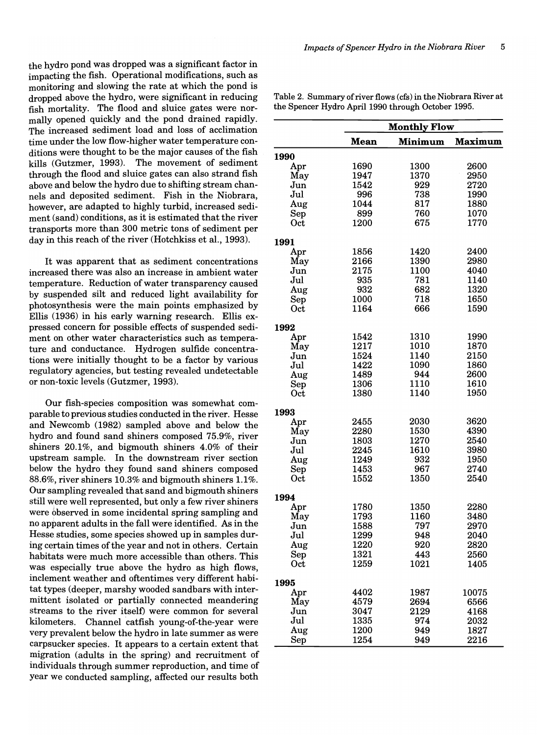the hydro pond was dropped was a significant factor in impacting the fish. Operational modifications, such as monitoring and slowing the rate at which the pond is dropped above the hydro, were significant in reducing fish mortality. The flood and sluice gates were normally opened quickly and the pond drained rapidly. The increased sediment load and loss of acclimation time under the low flow-higher water temperature conditions were thought to be the major causes of the fish kills (Gutzmer, 1993). The movement of sediment through the flood and sluice gates can also strand fish above and below the hydro due to shifting stream channels and deposited sediment. Fish in the Niobrara, however, are adapted to highly turbid, increased sediment (sand) conditions, as it is estimated that the river transports more than 300 metric tons of sediment per day in this reach of the river (Hotchkiss et al., 1993).

It was apparent that as sediment concentrations increased there was also an increase in ambient water temperature. Reduction of water transparency caused by suspended silt and reduced light availability for photosynthesis were the main points emphasized by Ellis (1936) in his early warning research. Ellis expressed concern for possible effects of suspended sediment on other water characteristics such as temperature and conductance. Hydrogen sulfide concentrations were initially thought to be a factor by various regulatory agencies, but testing revealed undetectable or non-toxic levels (Gutzmer, 1993).

Our fish-species composition was somewhat comparable to previous studies conducted in the river. Hesse and Newcomb (1982) sampled above and below the hydro and found sand shiners composed 75.9%, river shiners 20.1%, and bigmouth shiners 4.0% of their upstream sample. In the downstream river section below the hydro they found sand shiners composed 88.6%, river shiners 10.3% and bigmouth shiners 1.1%. Our sampling revealed that sand and bigmouth shiners still were well represented, but only a few river shiners were observed in some incidental spring sampling and no apparent adults in the fall were identified. As in the Hesse studies, some species showed up in samples during certain times of the year and not in others. Certain habitats were much more accessible than others. This was especially true above the hydro as high flows, inclement weather and oftentimes very different habitat types (deeper, marshy wooded sandbars with intermittent isolated or partially connected meandering streams to the river itself) were common for several kilometers. Channel catfish young-of-the-year were very prevalent below the hydro in late summer as were carp sucker species. It appears to a certain extent that migration (adults in the spring) and recruitment of individuals through summer reproduction, and time of year we conducted sampling, affected our results both

Table 2. Summary of river flows (cfs) in the Niobrara River at the Spencer Hydro April 1990 through October 1995.

|             | <b>Monthly Flow</b> |         |                |  |  |  |  |  |
|-------------|---------------------|---------|----------------|--|--|--|--|--|
|             | <b>Mean</b>         | Minimum | <b>Maximum</b> |  |  |  |  |  |
| 1990        |                     |         |                |  |  |  |  |  |
| Apr         | 1690                | 1300    | 2600           |  |  |  |  |  |
| May         | 1947                | 1370    | 2950           |  |  |  |  |  |
| Jun         | 1542                | 929     | 2720           |  |  |  |  |  |
| Jul         | 996                 | 738     | 1990           |  |  |  |  |  |
| Aug         | 1044                | 817     | 1880           |  |  |  |  |  |
| Sep         | 899                 | 760     | 1070           |  |  |  |  |  |
| Oct         | 1200                | 675     | 1770           |  |  |  |  |  |
| 1991        |                     |         |                |  |  |  |  |  |
| Apr         | 1856                | 1420    | 2400           |  |  |  |  |  |
| May         | 2166                | 1390    | 2980           |  |  |  |  |  |
| Jun         | 2175                | 1100    | 4040           |  |  |  |  |  |
| Jul         | 935                 | 781     | 1140           |  |  |  |  |  |
| Aug         | 932                 | 682     | 1320           |  |  |  |  |  |
|             | 1000                | 718     | 1650           |  |  |  |  |  |
| $\rm Sep$   | 1164                | 666     | 1590           |  |  |  |  |  |
| $\rm Oct$   |                     |         |                |  |  |  |  |  |
| 1992        |                     |         |                |  |  |  |  |  |
| Apr         | 1542                | 1310    | 1990           |  |  |  |  |  |
| May         | 1217                | 1010    | 1870           |  |  |  |  |  |
| Jun         | 1524                | 1140    | 2150           |  |  |  |  |  |
| Jul         | 1422                | 1090    | 1860           |  |  |  |  |  |
| Aug         | 1489                | 944     | 2600           |  |  |  |  |  |
| Sep         | 1306                | 1110    | 1610           |  |  |  |  |  |
| Oct         | 1380                | 1140    | 1950           |  |  |  |  |  |
| 1993        |                     |         |                |  |  |  |  |  |
| Apr         | 2455                | 2030    | 3620           |  |  |  |  |  |
| May         | 2280                | 1530    | 4390           |  |  |  |  |  |
| Jun         | 1803                | 1270    | 2540           |  |  |  |  |  |
| Jul         | 2245                | 1610    | 3980           |  |  |  |  |  |
| Aug         | 1249                | 932     | 1950           |  |  |  |  |  |
| ${\rm Sep}$ | 1453                | 967     | 2740           |  |  |  |  |  |
| Oct         | 1552                | 1350    | 2540           |  |  |  |  |  |
| 1994        |                     |         |                |  |  |  |  |  |
| Apr         | 1780                | 1350    | 2280           |  |  |  |  |  |
| May         | 1793                | 1160    | 3480           |  |  |  |  |  |
| Jun         | 1588                | 797     | 2970           |  |  |  |  |  |
| Jul         | 1299                | 948     | 2040           |  |  |  |  |  |
| Aug         | 1220                | 920     | 2820           |  |  |  |  |  |
|             | 1321                | 443     | 2560           |  |  |  |  |  |
| Sep         | 1259                |         |                |  |  |  |  |  |
| Oct         |                     | 1021    | 1405           |  |  |  |  |  |
| 1995        |                     |         |                |  |  |  |  |  |
| Apr         | 4402                | 1987    | 10075          |  |  |  |  |  |
| May         | 4579                | 2694    | 6566           |  |  |  |  |  |
| Jun         | 3047                | 2129    | 4168           |  |  |  |  |  |
| Jul         | 1335                | 974     | 2032           |  |  |  |  |  |
| Aug         | 1200                | 949     | 1827           |  |  |  |  |  |
| Sep         | 1254                | 949     | 2216           |  |  |  |  |  |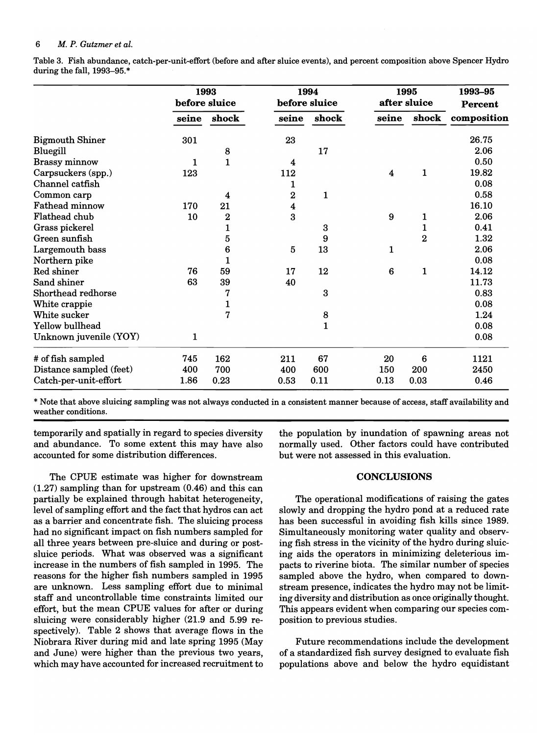#### 6 *M. P. Gutzmer et al.*

Table 3. Fish abundance, catch-per-unit-effort (before and after sluice events), and percent composition above Spencer Hydro during the fall, 1993-95. \*

|                         | 1993<br>before sluice |                |                | 1994<br>before sluice |                         | 1995<br>after sluice | 1993-95<br>Percent |  |
|-------------------------|-----------------------|----------------|----------------|-----------------------|-------------------------|----------------------|--------------------|--|
|                         | seine                 | shock          | seine          | shock                 | seine                   | shock                | composition        |  |
| <b>Bigmouth Shiner</b>  | 301                   |                | 23             |                       |                         |                      | 26.75              |  |
| Bluegill                |                       | 8              |                | 17                    |                         |                      | 2.06               |  |
| <b>Brassy minnow</b>    | 1                     | $\mathbf{1}$   | 4              |                       |                         |                      | 0.50               |  |
| Carpsuckers (spp.)      | 123                   |                | 112            |                       | $\overline{\mathbf{4}}$ | $\mathbf{1}$         | 19.82              |  |
| Channel catfish         |                       |                | 1              |                       |                         |                      | 0.08               |  |
| Common carp             |                       | 4              | 2              | $\mathbf{1}$          |                         |                      | 0.58               |  |
| <b>Fathead minnow</b>   | 170                   | 21             | 4              |                       |                         |                      | 16.10              |  |
| Flathead chub           | 10                    | $\bf{z}$       | 3              |                       | 9                       | 1                    | 2.06               |  |
| Grass pickerel          |                       | $\mathbf{1}$   |                | 3                     |                         | 1                    | 0.41               |  |
| Green sunfish           |                       | $\overline{5}$ |                | 9                     |                         | $\overline{2}$       | 1.32               |  |
| Largemouth bass         |                       | 6              | $\overline{5}$ | 13                    | 1                       |                      | 2.06               |  |
| Northern pike           |                       | 1              |                |                       |                         |                      | 0.08               |  |
| Red shiner              | 76                    | 59             | 17             | 12                    | $6\phantom{1}6$         | $\mathbf{1}$         | 14.12              |  |
| Sand shiner             | 63                    | 39             | 40             |                       |                         |                      | 11.73              |  |
| Shorthead redhorse      |                       | 7              |                | 3                     |                         |                      | 0.83               |  |
| White crappie           |                       | $\mathbf{1}$   |                |                       |                         |                      | 0.08               |  |
| White sucker            |                       | $\overline{7}$ |                | 8                     |                         |                      | 1.24               |  |
| Yellow bullhead         |                       |                |                | 1                     |                         |                      | 0.08               |  |
| Unknown juvenile (YOY)  | 1                     |                |                |                       |                         |                      | 0.08               |  |
| # of fish sampled       | 745                   | 162            | 211            | 67                    | 20                      | 6                    | 1121               |  |
| Distance sampled (feet) | 400                   | 700            | 400            | 600                   | 150                     | 200                  | 2450               |  |
| Catch-per-unit-effort   | 1.86                  | 0.23           | 0.53           | 0.11                  | 0.13                    | 0.03                 | 0.46               |  |

\* Note that above sluicing sampling was not always conducted in a consistent manner because of access, staff availability and weather conditions.

temporarily and spatially in regard to species diversity and abundance. To some extent this may have also accounted for some distribution differences.

The CPUE estimate was higher for downstream (1.27) sampling than for upstream (0.46) and this can partially be explained through habitat heterogeneity, level of sampling effort and the fact that hydros can act as a barrier and concentrate fish. The sluicing process had no significant impact on fish numbers sampled for all three years between pre-sluice and during or postsluice periods. What was observed was a significant increase in the numbers of fish sampled in 1995. The reasons for the higher fish numbers sampled in 1995 are unknown. Less sampling effort due to minimal staff and uncontrollable time constraints limited our effort, but the mean CPUE values for after or during sluicing were considerably higher (21.9 and 5.99 respectively). Table 2 shows that average flows in the Niobrara River during mid and late spring 1995 (May and June) were higher than the previous two years, which may have accounted for increased recruitment to

the population by inundation of spawning areas not normally used. Other factors could have contributed but were not assessed in this evaluation.

#### **CONCLUSIONS**

The operational modifications of raising the gates slowly and dropping the hydro pond at a reduced rate has been successful in avoiding fish kills since 1989. Simultaneously monitoring water quality and observing fish stress in the vicinity of the hydro during sluicing aids the operators in minimizing deleterious impacts to riverine biota. The similar number of species sampled above the hydro, when compared to downstream presence, indicates the hydro may not be limiting diversity and distribution as once originally thought. This appears evident when comparing our species composition to previous studies.

Future recommendations include the development of a standardized fish survey designed to evaluate fish populations above and below the hydro equidistant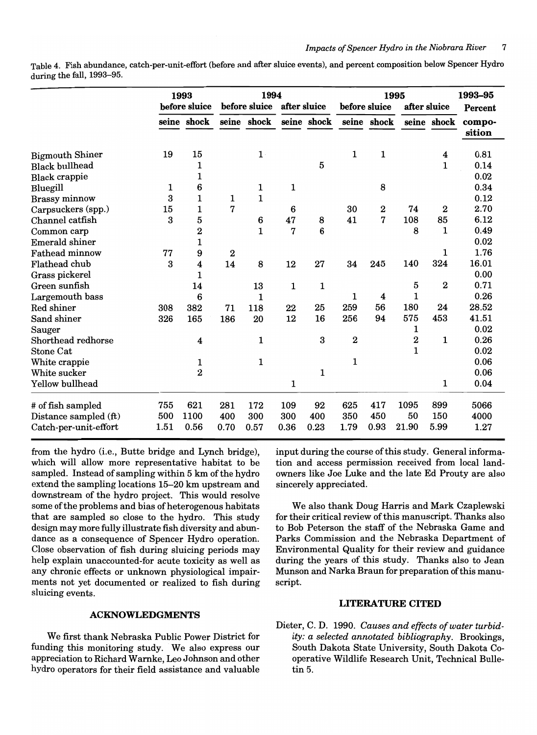Table 4. Fish abundance, catch-per-unit-effort (before and after sluice events), and percent composition below Spencer Hydro during the fall, 1993-95.

|                        |      | 1993                    |                  | 1994                          |             |                         | 1995                    |                  |              |                  | 1993-95          |
|------------------------|------|-------------------------|------------------|-------------------------------|-------------|-------------------------|-------------------------|------------------|--------------|------------------|------------------|
|                        |      | before sluice           |                  | before sluice<br>after sluice |             |                         | before sluice           |                  | after sluice |                  | Percent          |
|                        |      | seine shock             |                  | seine shock                   |             | seine shock seine shock |                         |                  |              | seine shock      | compo-<br>sition |
| <b>Bigmouth Shiner</b> | 19   | 15                      |                  | $1 \cdot$                     |             |                         | 1                       | 1                |              | 4                | 0.81             |
| <b>Black bullhead</b>  |      | 1                       |                  |                               |             | 5                       |                         |                  |              | 1                | 0.14             |
| <b>Black crappie</b>   |      | 1                       |                  |                               |             |                         |                         |                  |              |                  | 0.02             |
| Bluegill               | 1    | 6                       |                  | 1                             | 1           |                         |                         | 8                |              |                  | 0.34             |
| <b>Brassy</b> minnow   | 3    | $\mathbf 1$             | 1                | $\mathbf{1}$                  |             |                         |                         |                  |              |                  | 0.12             |
| Carpsuckers (spp.)     | 15   | 1                       | 7                |                               | 6           |                         | 30                      | $\boldsymbol{2}$ | 74           | $\bf{2}$         | 2.70             |
| Channel catfish        | 3    | 5                       |                  | 6                             | 47          | 8                       | 41                      | 7                | 108          | 85               | 6.12             |
| Common carp            |      | $\bf{2}$                |                  | $\mathbf{1}$                  | 7           | 6                       |                         |                  | 8            | 1                | 0.49             |
| <b>Emerald shiner</b>  |      | $\mathbf 1$             |                  |                               |             |                         |                         |                  |              |                  | 0.02             |
| <b>Fathead minnow</b>  | 77   | 9                       | $\boldsymbol{2}$ |                               |             |                         |                         |                  |              | 1                | 1.76             |
| Flathead chub          | 3    | $\overline{\mathbf{4}}$ | 14               | 8                             | 12          | 27                      | 34                      | 245              | 140          | 324              | 16.01            |
| Grass pickerel         |      | $\mathbf{1}$            |                  |                               |             |                         |                         |                  |              |                  | 0.00             |
| Green sunfish          |      | 14                      |                  | 13                            | $\mathbf 1$ | 1                       |                         |                  | 5            | $\boldsymbol{2}$ | 0.71             |
| Largemouth bass        |      | 6                       |                  | 1                             |             |                         | 1                       | $\boldsymbol{4}$ | 1            |                  | 0.26             |
| Red shiner             | 308  | 382                     | 71               | 118                           | 22          | 25                      | 259                     | 56               | 180          | 24               | 28.52            |
| Sand shiner            | 326  | 165                     | 186              | 20                            | 12          | 16                      | 256                     | 94               | 575          | 453              | 41.51            |
| Sauger                 |      |                         |                  |                               |             |                         |                         |                  | 1            |                  | 0.02             |
| Shorthead redhorse     |      | 4                       |                  | 1                             |             | 3                       | $\overline{\mathbf{2}}$ |                  | 2            | 1                | 0.26             |
| Stone Cat              |      |                         |                  |                               |             |                         |                         |                  | $\mathbf{1}$ |                  | 0.02             |
| White crappie          |      | 1                       |                  | $\mathbf{1}$                  |             |                         | 1                       |                  |              |                  | 0.06             |
| White sucker           |      | $\overline{2}$          |                  |                               |             | 1                       |                         |                  |              |                  | 0.06             |
| Yellow bullhead        |      |                         |                  |                               | 1           |                         |                         |                  |              | 1                | 0.04             |
| # of fish sampled      | 755  | 621                     | 281              | 172                           | 109         | 92                      | 625                     | 417              | 1095         | 899              | 5066             |
| Distance sampled (ft)  | 500  | 1100                    | 400              | 300                           | 300         | 400                     | 350                     | 450              | 50           | 150              | 4000             |
| Catch-per-unit-effort  | 1.51 | 0.56                    | 0.70             | 0.57                          | 0.36        | 0.23                    | 1.79                    | 0.93             | 21.90        | 5.99             | 1.27             |

from the hydro (i.e., Butte bridge and Lynch bridge), which will allow more representative habitat to be sampled. Instead of sampling within 5 km of the hydro extend the sampling locations 15-20 km upstream and downstream of the hydro project. This would resolve some of the problems and bias of heterogenous habitats that are sampled so close to the hydro. This study design may more fully illustrate fish diversity and abundance as a consequence of Spencer Hydro operation. Close observation of fish during sluicing periods may help explain unaccounted-for acute toxicity as well as any chronic effects or unknown physiological impairments not yet documented or realized to fish during sluicing events.

# ACKNOWLEDGMENTS

We first thank Nebraska Public Power District for funding this monitoring study. We also express our appreciation to Richard Warnke, Leo Johnson and other hydro operators for their field assistance and valuable

input during the course of this study. General information and access permission received from local landowners like Joe Luke and the late Ed Prouty are also sincerely appreciated.

We also thank Doug Harris and Mark Czaplewski for their critical review of this manuscript. Thanks also to Bob Peterson the staff of the Nebraska Game and Parks Commission and the Nebraska Department of Environmental Quality for their review and guidance during the years of this study. Thanks also to Jean Munson and Narka Braun for preparation of this manuscript.

### LITERATURE CITED

Dieter, C. D. 1990. Causes and effects of water turbid*ity: a selected annotated bibliography.* Brookings, South Dakota State University, South Dakota Cooperative Wildlife Research Unit, Technical Bulletin 5.